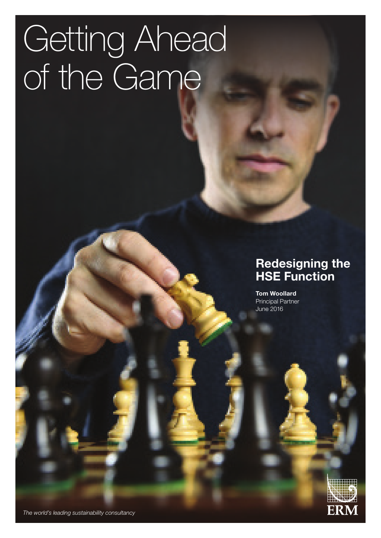# Getting Ahead of the Game

### **Redesigning the HSE Function**

ERM

**Tom Woollard** Principal Partner June 2016

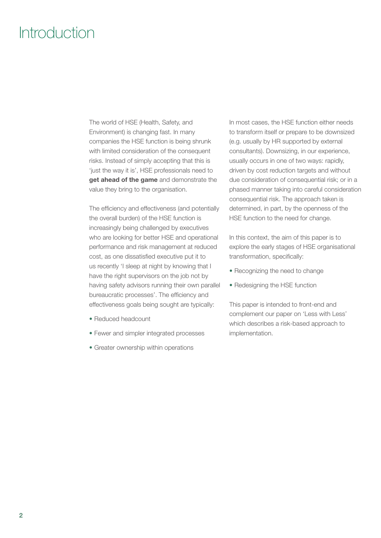### Introduction

The world of HSE (Health, Safety, and Environment) is changing fast. In many companies the HSE function is being shrunk with limited consideration of the consequent risks. Instead of simply accepting that this is 'just the way it is', HSE professionals need to **get ahead of the game** and demonstrate the value they bring to the organisation.

The efficiency and effectiveness (and potentially the overall burden) of the HSE function is increasingly being challenged by executives who are looking for better HSE and operational performance and risk management at reduced cost, as one dissatisfied executive put it to us recently 'I sleep at night by knowing that I have the right supervisors on the job not by having safety advisors running their own parallel bureaucratic processes'. The efficiency and effectiveness goals being sought are typically:

- Reduced headcount
- Fewer and simpler integrated processes
- Greater ownership within operations

In most cases, the HSE function either needs to transform itself or prepare to be downsized (e.g. usually by HR supported by external consultants). Downsizing, in our experience, usually occurs in one of two ways: rapidly, driven by cost reduction targets and without due consideration of consequential risk; or in a phased manner taking into careful consideration consequential risk. The approach taken is determined, in part, by the openness of the HSE function to the need for change.

In this context, the aim of this paper is to explore the early stages of HSE organisational transformation, specifically:

- Recognizing the need to change
- Redesigning the HSE function

This paper is intended to front-end and complement our paper on 'Less with Less' which describes a risk-based approach to implementation.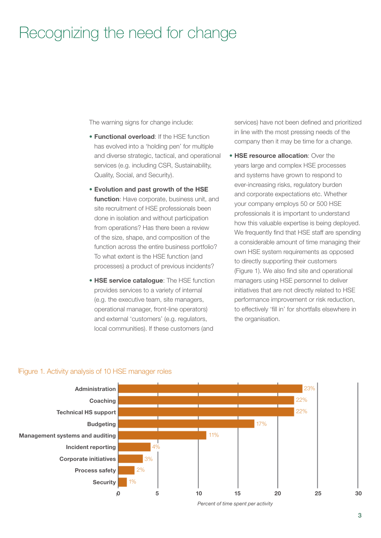### Recognizing the need for change

The warning signs for change include:

- **Functional overload**: If the HSE function has evolved into a 'holding pen' for multiple and diverse strategic, tactical, and operational services (e.g. including CSR, Sustainability, Quality, Social, and Security).
- **Evolution and past growth of the HSE function**: Have corporate, business unit, and site recruitment of HSE professionals been done in isolation and without participation from operations? Has there been a review of the size, shape, and composition of the function across the entire business portfolio? To what extent is the HSE function (and processes) a product of previous incidents?
- **HSE service catalogue**: The HSE function provides services to a variety of internal (e.g. the executive team, site managers, operational manager, front-line operators) and external 'customers' (e.g. regulators, local communities). If these customers (and

services) have not been defined and prioritized in line with the most pressing needs of the company then it may be time for a change.

• **HSE resource allocation**: Over the years large and complex HSE processes and systems have grown to respond to ever-increasing risks, regulatory burden and corporate expectations etc. Whether your company employs 50 or 500 HSE professionals it is important to understand how this valuable expertise is being deployed. We frequently find that HSE staff are spending a considerable amount of time managing their own HSE system requirements as opposed to directly supporting their customers (Figure 1). We also find site and operational managers using HSE personnel to deliver initiatives that are not directly related to HSE performance improvement or risk reduction, to effectively 'fill in' for shortfalls elsewhere in the organisation.



#### Figure 1. Activity analysis of 10 HSE manager roles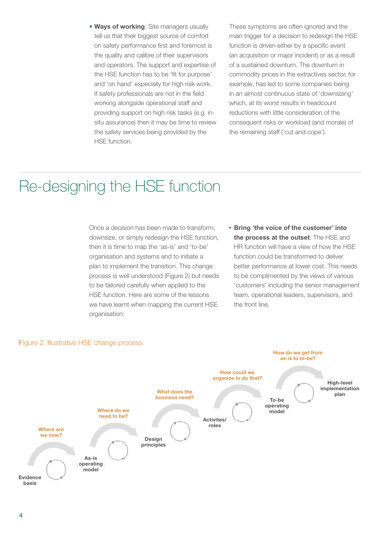• **Ways of working**: Site managers usually tell us that their biggest source of comfort on safety performance first and foremost is the quality and calibre of their supervisors and operators. The support and expertise of the HSE function has to be 'fit for purpose' and 'on hand' especially for high risk work. If safety professionals are not in the field working alongside operational staff and providing support on high risk tasks (e.g. insitu assurance) then it may be time to review the safety services being provided by the HSE function.

These symptoms are often ignored and the main trigger for a decision to redesign the HSE function is driven either by a specific event (an acquisition or major incident) or as a result of a sustained downturn. The downturn in commodity prices in the extractives sector, for example, has led to some companies being in an almost continuous state of 'downsizing' which, at its worst results in headcount reductions with little consideration of the consequent risks or workload (and morale) of the remaining staff ('cut and cope').

### Re-designing the HSE function

Once a decision has been made to transform, downsize, or simply redesign the HSE function, then it is time to map the 'as-is' and 'to-be' organisation and systems and to initiate a plan to implement the transition. This change process is well understood (Figure 2) but needs to be tailored carefully when applied to the HSE function. Here are some of the lessons we have learnt when mapping the current HSE organisation:

**• Bring 'the voice of the customer' into the process at the outset**: The HSE and HR function will have a view of how the HSE function could be transformed to deliver better performance at lower cost. This needs to be complimented by the views of various 'customers' including the senior management team, operational leaders, supervisors, and the front line.



#### Figure 2. Illustrative HSE change process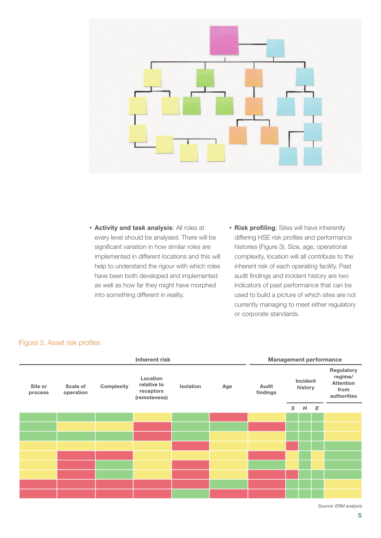

- **• Activity and task analysis**: All roles at every level should be analysed. There will be significant variation in how similar roles are implemented in different locations and this will help to understand the rigour with which roles have been both developed and implemented as well as how far they might have morphed into something different in reality.
- **• Risk profiling**: Sites will have inherently differing HSE risk profiles and performance histories (Figure 3). Size, age, operational complexity, location will all contribute to the inherent risk of each operating facility. Past audit findings and incident history are two indicators of past performance that can be used to build a picture of which sites are not currently managing to meet either regulatory or corporate standards.

| <b>Inherent risk</b> |                       |            |                                                      |                  |     | <b>Management performance</b> |                     |   |   |                                                                  |
|----------------------|-----------------------|------------|------------------------------------------------------|------------------|-----|-------------------------------|---------------------|---|---|------------------------------------------------------------------|
| Site or<br>process   | Scale of<br>operation | Complexity | Location<br>relative to<br>receptors<br>(remoteness) | <b>Isolation</b> | Age | Audit<br>findings             | Incident<br>history |   |   | Regulatory<br>regime/<br><b>Attention</b><br>from<br>authorities |
|                      |                       |            |                                                      |                  |     |                               | S                   | H | E |                                                                  |
|                      |                       |            |                                                      |                  |     |                               |                     |   |   |                                                                  |
|                      |                       |            |                                                      |                  |     |                               |                     |   |   |                                                                  |
|                      |                       |            |                                                      |                  |     |                               |                     |   |   |                                                                  |
|                      |                       |            |                                                      |                  |     |                               |                     |   |   |                                                                  |
|                      |                       |            |                                                      |                  |     |                               |                     |   |   |                                                                  |
|                      |                       |            |                                                      |                  |     |                               |                     |   |   |                                                                  |
|                      |                       |            |                                                      |                  |     |                               |                     |   |   |                                                                  |
|                      |                       |            |                                                      |                  |     |                               |                     |   |   |                                                                  |
|                      |                       |            |                                                      |                  |     |                               |                     |   |   |                                                                  |

#### Figure 3. Asset risk profiles

*Source: ERM analysis*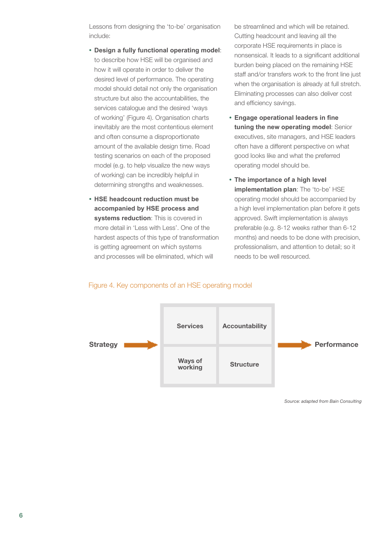Lessons from designing the 'to-be' organisation include:

- **• Design a fully functional operating model**: to describe how HSE will be organised and how it will operate in order to deliver the desired level of performance. The operating model should detail not only the organisation structure but also the accountabilities, the services catalogue and the desired 'ways of working' (Figure 4). Organisation charts inevitably are the most contentious element and often consume a disproportionate amount of the available design time. Road testing scenarios on each of the proposed model (e.g. to help visualize the new ways of working) can be incredibly helpful in determining strengths and weaknesses.
- **• HSE headcount reduction must be accompanied by HSE process and systems reduction**: This is covered in more detail in 'Less with Less'. One of the hardest aspects of this type of transformation is getting agreement on which systems and processes will be eliminated, which will

be streamlined and which will be retained. Cutting headcount and leaving all the corporate HSE requirements in place is nonsensical. It leads to a significant additional burden being placed on the remaining HSE staff and/or transfers work to the front line just when the organisation is already at full stretch. Eliminating processes can also deliver cost and efficiency savings.

- **• Engage operational leaders in fine tuning the new operating model**: Senior executives, site managers, and HSE leaders often have a different perspective on what good looks like and what the preferred operating model should be.
- **• The importance of a high level implementation plan**: The 'to-be' HSE operating model should be accompanied by a high level implementation plan before it gets approved. Swift implementation is always preferable (e.g. 8-12 weeks rather than 6-12 months) and needs to be done with precision, professionalism, and attention to detail; so it needs to be well resourced.

## **Strategy Performance Services Accountability Structure Ways of working**

#### Figure 4. Key components of an HSE operating model

*Source: adapted from Bain Consulting*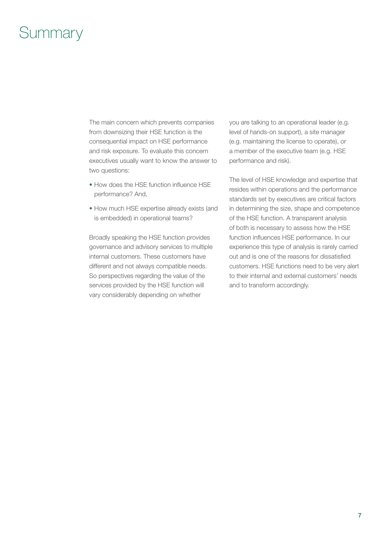### **Summary**

The main concern which prevents companies from downsizing their HSE function is the consequential impact on HSE performance and risk exposure. To evaluate this concern executives usually want to know the answer to two questions:

- How does the HSE function influence HSE performance? And,
- How much HSE expertise already exists (and is embedded) in operational teams?

Broadly speaking the HSE function provides governance and advisory services to multiple internal customers. These customers have different and not always compatible needs. So perspectives regarding the value of the services provided by the HSE function will vary considerably depending on whether

you are talking to an operational leader (e.g. level of hands-on support), a site manager (e.g. maintaining the license to operate), or a member of the executive team (e.g. HSE performance and risk).

The level of HSE knowledge and expertise that resides within operations and the performance standards set by executives are critical factors in determining the size, shape and competence of the HSE function. A transparent analysis of both is necessary to assess how the HSE function influences HSE performance. In our experience this type of analysis is rarely carried out and is one of the reasons for dissatisfied customers. HSE functions need to be very alert to their internal and external customers' needs and to transform accordingly.